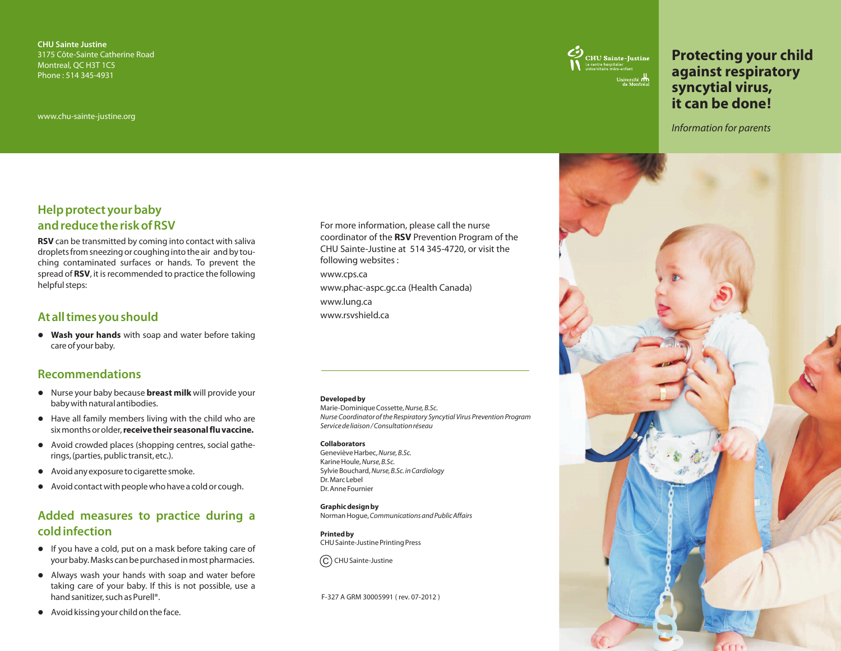**CHU Sainte Justine**  3175 Côte-Sainte Catherine Road Montreal, QC H3T 1C5 Phone : 514 345-4931

www.chu-sainte-justine.org



# **Protecting your child against respiratory syncytial virus, it can be done!**

*Information for parents* 

# **Help protect your baby and reduce the risk of RSV**

**RSV** can be transmitted by coming into contact with saliva droplets from sneezing or coughing into the air and by touching contaminated surfaces or hands. To prevent the spread of **RSV**, it is recommended to practice the following helpful steps:

## **At all times you should**

**• Wash your hands** with soap and water before taking care of your baby.

## **Recommendations**

- **.** Nurse your baby because **breast milk** will provide your
- lbaby with natural antibodies. Have all family members living with the child who are
- lsix months or older, **receive their seasonal flu vaccine.** Avoid crowded places (shopping centres, social gatherings, (parties, public transit, etc.).<br>• Avoid any exposure to cigarette smoke.
- 
- lAvoid any exposure to cigarette smoke. Avoid contact with people who have a cold or cough.

# **Added measures to practice during a cold infection**

- If you have a cold, put on a mask before taking care of your baby. Masks can be purchased in most pharmacies.
- lyour baby. Masks can be purchased in most pharmacies. Always wash your hands with soap and water before taking care of your baby. If this is not possible, use a
- lhand sanitizer, such as Purell®. Avoid kissing your child on the face.

For more information, please call the nurse coordinator of the **RSV** Prevention Program of the CHU Sainte-Justine at 514 345-4720, or visit the following websites :

www.cps.ca www.phac-aspc.gc.ca (Health Canada) www.lung.ca

www.rsvshield.ca

#### **Developed by**

Marie-Dominique Cossette, *Nurse, B.Sc. Nurse Coordinator of the Respiratory Syncytial Virus Prevention Program Service de liaison / Consultation réseau*

#### **Collaborators**

Geneviève Harbec, *Nurse, B.Sc.*  Karine Houle, *Nurse, B.Sc.*  Sylvie Bouchard, *Nurse, B.Sc. in Cardiology*  Dr. Marc Lebel Dr. Anne Fournier

**Graphic design by**  Norman Hogue,*Communications and Public Affairs* 

**Printed by**  CHU Sainte-Justine Printing Press

 $\left( \mathsf{C}\right)$  CHU Sainte-Justine

F-327 A GRM 30005991 ( rev. 07-2012 )